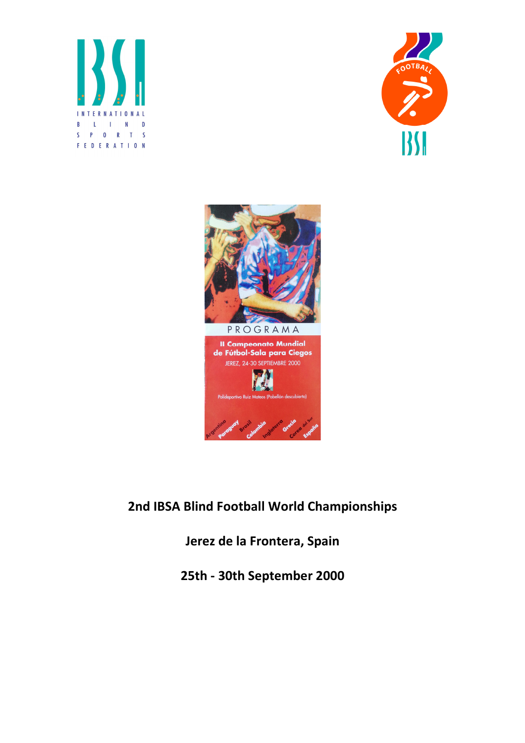





2nd IBSA Blind Football World Championships

Jerez de la Frontera, Spain

25th - 30th September 2000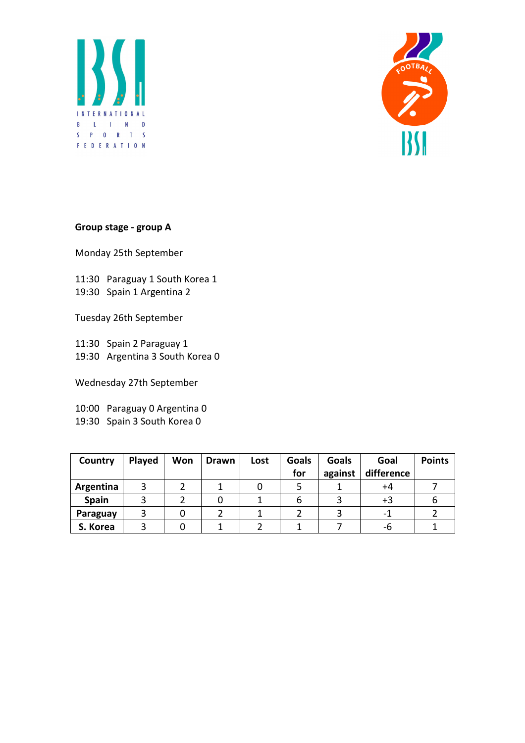



## Group stage - group A

Monday 25th September

11:30 Paraguay 1 South Korea 1 19:30 Spain 1 Argentina 2

Tuesday 26th September

11:30 Spain 2 Paraguay 1 19:30 Argentina 3 South Korea 0

Wednesday 27th September

10:00 Paraguay 0 Argentina 0 19:30 Spain 3 South Korea 0

| Country   | Played | Won | <b>Drawn</b> | Lost | <b>Goals</b><br>for | Goals<br>against | Goal<br>difference | <b>Points</b> |
|-----------|--------|-----|--------------|------|---------------------|------------------|--------------------|---------------|
| Argentina |        |     |              |      |                     |                  | +4                 |               |
| Spain     |        |     |              |      | O                   |                  | $+3$               |               |
| Paraguay  |        |     |              |      |                     |                  |                    |               |
| S. Korea  |        |     |              |      |                     |                  | -6                 |               |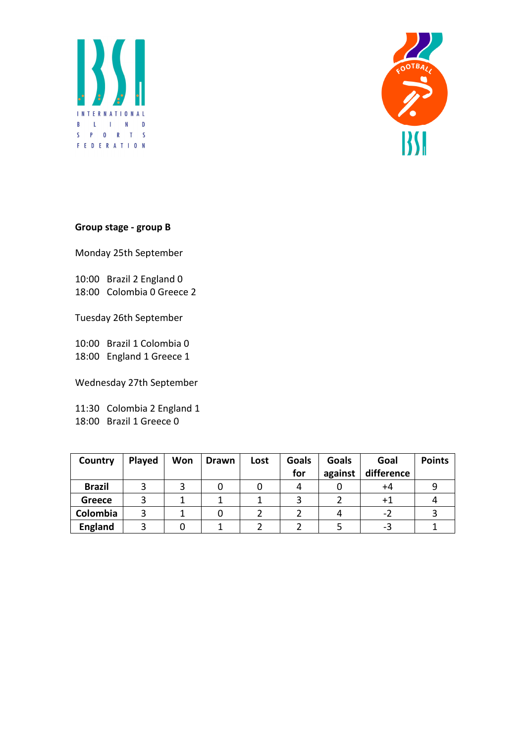



## Group stage - group B

Monday 25th September

10:00 Brazil 2 England 0 18:00 Colombia 0 Greece 2

Tuesday 26th September

10:00 Brazil 1 Colombia 0 18:00 England 1 Greece 1

Wednesday 27th September

11:30 Colombia 2 England 1 18:00 Brazil 1 Greece 0

| Country        | Played | Won | <b>Drawn</b> | Lost | <b>Goals</b><br>for | Goals<br>against | Goal<br>difference | <b>Points</b> |
|----------------|--------|-----|--------------|------|---------------------|------------------|--------------------|---------------|
| <b>Brazil</b>  |        | 3   |              |      |                     |                  | +4                 |               |
| Greece         |        |     |              |      |                     |                  | $+1$               |               |
| Colombia       |        |     |              |      |                     |                  | -2                 |               |
| <b>England</b> |        |     |              |      |                     |                  | -3                 |               |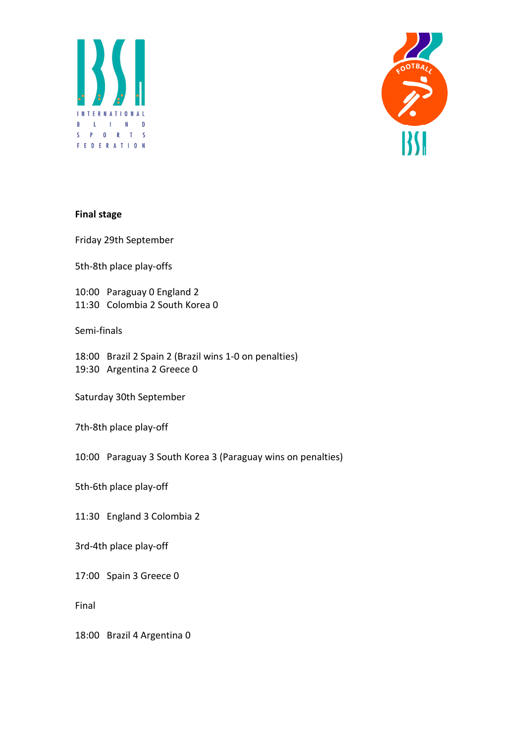



#### Final stage

Friday 29th September

5th-8th place play-offs

10:00 Paraguay 0 England 2 11:30 Colombia 2 South Korea 0

Semi-finals

18:00 Brazil 2 Spain 2 (Brazil wins 1-0 on penalties) 19:30 Argentina 2 Greece 0

Saturday 30th September

7th-8th place play-off

10:00 Paraguay 3 South Korea 3 (Paraguay wins on penalties)

5th-6th place play-off

11:30 England 3 Colombia 2

3rd-4th place play-off

17:00 Spain 3 Greece 0

Final

18:00 Brazil 4 Argentina 0